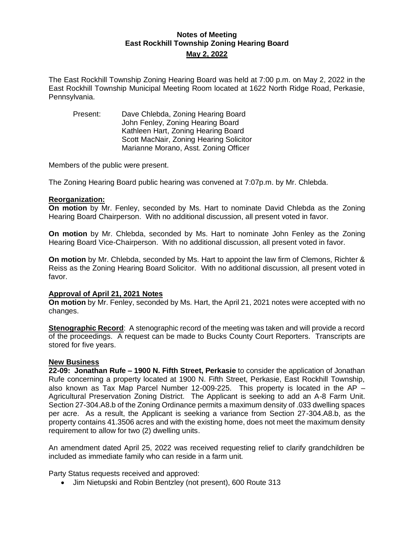# **Notes of Meeting East Rockhill Township Zoning Hearing Board May 2, 2022**

The East Rockhill Township Zoning Hearing Board was held at 7:00 p.m. on May 2, 2022 in the East Rockhill Township Municipal Meeting Room located at 1622 North Ridge Road, Perkasie, Pennsylvania.

Present: Dave Chlebda, Zoning Hearing Board John Fenley, Zoning Hearing Board Kathleen Hart, Zoning Hearing Board Scott MacNair, Zoning Hearing Solicitor Marianne Morano, Asst. Zoning Officer

Members of the public were present.

The Zoning Hearing Board public hearing was convened at 7:07p.m. by Mr. Chlebda.

## **Reorganization:**

**On motion** by Mr. Fenley, seconded by Ms. Hart to nominate David Chlebda as the Zoning Hearing Board Chairperson. With no additional discussion, all present voted in favor.

**On motion** by Mr. Chlebda, seconded by Ms. Hart to nominate John Fenley as the Zoning Hearing Board Vice-Chairperson. With no additional discussion, all present voted in favor.

**On motion** by Mr. Chlebda, seconded by Ms. Hart to appoint the law firm of Clemons, Richter & Reiss as the Zoning Hearing Board Solicitor. With no additional discussion, all present voted in favor.

### **Approval of April 21, 2021 Notes**

**On motion** by Mr. Fenley, seconded by Ms. Hart, the April 21, 2021 notes were accepted with no changes.

**Stenographic Record**: A stenographic record of the meeting was taken and will provide a record of the proceedings. A request can be made to Bucks County Court Reporters. Transcripts are stored for five years.

### **New Business**

**22-09: Jonathan Rufe – 1900 N. Fifth Street, Perkasie** to consider the application of Jonathan Rufe concerning a property located at 1900 N. Fifth Street, Perkasie, East Rockhill Township, also known as Tax Map Parcel Number 12-009-225. This property is located in the AP – Agricultural Preservation Zoning District. The Applicant is seeking to add an A-8 Farm Unit. Section 27-304.A8.b of the Zoning Ordinance permits a maximum density of .033 dwelling spaces per acre. As a result, the Applicant is seeking a variance from Section 27-304.A8.b, as the property contains 41.3506 acres and with the existing home, does not meet the maximum density requirement to allow for two (2) dwelling units.

An amendment dated April 25, 2022 was received requesting relief to clarify grandchildren be included as immediate family who can reside in a farm unit.

Party Status requests received and approved:

• Jim Nietupski and Robin Bentzley (not present), 600 Route 313